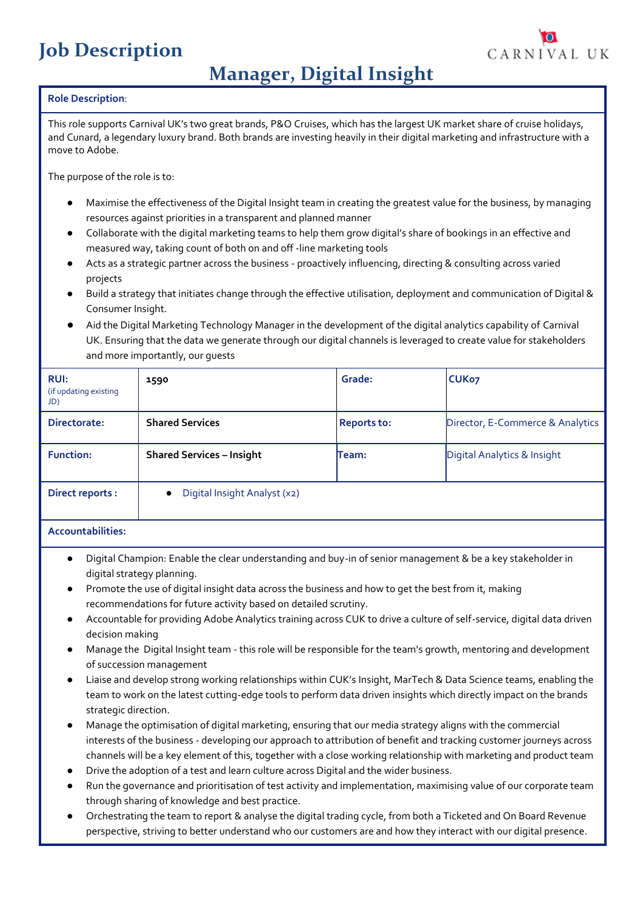# **Job Description**



# **Manager, Digital Insight**

## **Role Description**:

This role supports Carnival UK's two great brands, P&O Cruises, which has the largest UK market share of cruise holidays, and Cunard, a legendary luxury brand. Both brands are investing heavily in their digital marketing and infrastructure with a move to Adobe.

The purpose of the role is to:

- Maximise the effectiveness of the Digital Insight team in creating the greatest value for the business, by managing resources against priorities in a transparent and planned manner
- Collaborate with the digital marketing teams to help them grow digital's share of bookings in an effective and measured way, taking count of both on and off -line marketing tools
- Acts as a strategic partner across the business proactively influencing, directing & consulting across varied projects
- Build a strategy that initiates change through the effective utilisation, deployment and communication of Digital & Consumer Insight.
- Aid the Digital Marketing Technology Manager in the development of the digital analytics capability of Carnival UK. Ensuring that the data we generate through our digital channels is leveraged to create value for stakeholders and more importantly, our guests

| <b>RUI:</b><br>(if updating existing<br>JD) | 1590                                      | Grade:             | CUK <sub>07</sub>                |
|---------------------------------------------|-------------------------------------------|--------------------|----------------------------------|
| Directorate:                                | <b>Shared Services</b>                    | <b>Reports to:</b> | Director, E-Commerce & Analytics |
| <b>Function:</b>                            | <b>Shared Services - Insight</b>          | Team:              | Digital Analytics & Insight      |
| <b>Direct reports:</b>                      | Digital Insight Analyst (x2)<br>$\bullet$ |                    |                                  |

## **Accountabilities:**

- Digital Champion: Enable the clear understanding and buy-in of senior management & be a key stakeholder in digital strategy planning.
- Promote the use of digital insight data across the business and how to get the best from it, making recommendations for future activity based on detailed scrutiny.
- Accountable for providing Adobe Analytics training across CUK to drive a culture of self-service, digital data driven decision making
- Manage the Digital Insight team this role will be responsible for the team's growth, mentoring and development of succession management
- Liaise and develop strong working relationships within CUK's Insight, MarTech & Data Science teams, enabling the team to work on the latest cutting-edge tools to perform data driven insights which directly impact on the brands strategic direction.
- Manage the optimisation of digital marketing, ensuring that our media strategy aligns with the commercial interests of the business - developing our approach to attribution of benefit and tracking customer journeys across channels will be a key element of this, together with a close working relationship with marketing and product team
- Drive the adoption of a test and learn culture across Digital and the wider business.
- Run the governance and prioritisation of test activity and implementation, maximising value of our corporate team through sharing of knowledge and best practice.
- Orchestrating the team to report & analyse the digital trading cycle, from both a Ticketed and On Board Revenue perspective, striving to better understand who our customers are and how they interact with our digital presence.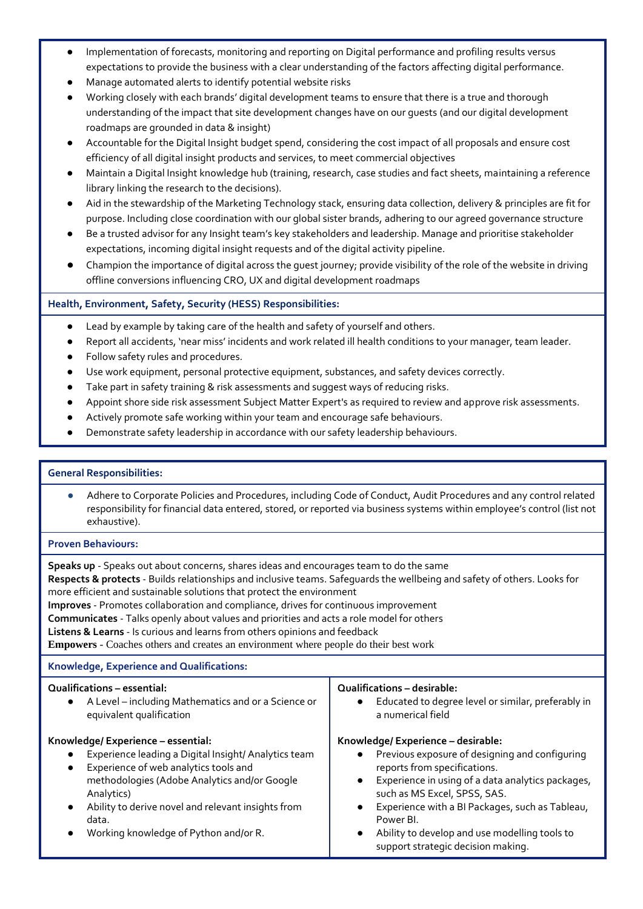- Implementation of forecasts, monitoring and reporting on Digital performance and profiling results versus expectations to provide the business with a clear understanding of the factors affecting digital performance.
- Manage automated alerts to identify potential website risks
- Working closely with each brands' digital development teams to ensure that there is a true and thorough understanding of the impact that site development changes have on our guests (and our digital development roadmaps are grounded in data & insight)
- Accountable for the Digital Insight budget spend, considering the cost impact of all proposals and ensure cost efficiency of all digital insight products and services, to meet commercial objectives
- Maintain a Digital Insight knowledge hub (training, research, case studies and fact sheets, maintaining a reference library linking the research to the decisions).
- Aid in the stewardship of the Marketing Technology stack, ensuring data collection, delivery & principles are fit for purpose. Including close coordination with our global sister brands, adhering to our agreed governance structure
- Be a trusted advisor for any Insight team's key stakeholders and leadership. Manage and prioritise stakeholder expectations, incoming digital insight requests and of the digital activity pipeline.
- Champion the importance of digital across the guest journey; provide visibility of the role of the website in driving offline conversions influencing CRO, UX and digital development roadmaps

# **Health, Environment, Safety, Security (HESS) Responsibilities:**

- Lead by example by taking care of the health and safety of yourself and others.
- Report all accidents, 'near miss' incidents and work related ill health conditions to your manager, team leader.
- Follow safety rules and procedures.
- Use work equipment, personal protective equipment, substances, and safety devices correctly.
- Take part in safety training & risk assessments and suggest ways of reducing risks.
- Appoint shore side risk assessment Subject Matter Expert's as required to review and approve risk assessments.
- Actively promote safe working within your team and encourage safe behaviours.
- Demonstrate safety leadership in accordance with our safety leadership behaviours.

#### **General Responsibilities:**

Adhere to Corporate Policies and Procedures, including Code of Conduct, Audit Procedures and any control related responsibility for financial data entered, stored, or reported via business systems within employee's control (list not exhaustive).

#### **Proven Behaviours:**

**Speaks up** - Speaks out about concerns, shares ideas and encourages team to do the same

**Respects & protects** - Builds relationships and inclusive teams. Safeguards the wellbeing and safety of others. Looks for more efficient and sustainable solutions that protect the environment

**Improves** - Promotes collaboration and compliance, drives for continuous improvement

**Communicates** - Talks openly about values and priorities and acts a role model for others

**Listens & Learns** - Is curious and learns from others opinions and feedback

**Empowers** - Coaches others and creates an environment where people do their best work

#### **Knowledge, Experience and Qualifications:**

#### **Qualifications – essential:**

● A Level – including Mathematics and or a Science or equivalent qualification

#### **Knowledge/ Experience – essential:**

- Experience leading a Digital Insight/ Analytics team
- Experience of web analytics tools and methodologies (Adobe Analytics and/or Google Analytics)
- Ability to derive novel and relevant insights from data.
- Working knowledge of Python and/or R.

#### **Qualifications – desirable:**

● Educated to degree level or similar, preferably in a numerical field

#### **Knowledge/ Experience – desirable:**

- Previous exposure of designing and configuring reports from specifications.
- Experience in using of a data analytics packages, such as MS Excel, SPSS, SAS.
- Experience with a BI Packages, such as Tableau, Power BI.
- Ability to develop and use modelling tools to support strategic decision making.